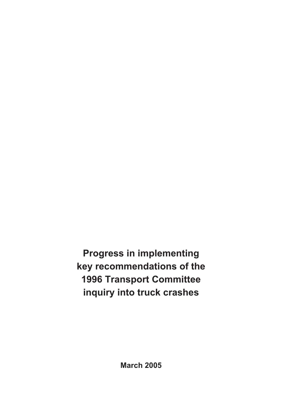**Progress in implementing key recommendations of the 1996 Transport Committee inquiry into truck crashes**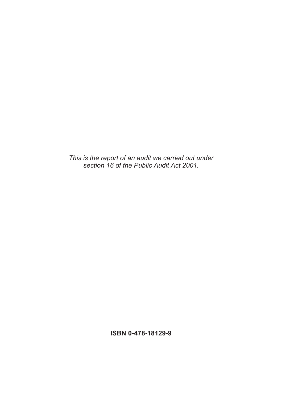*This is the report of an audit we carried out under section 16 of the Public Audit Act 2001.* 

**ISBN 0-478-18129-9**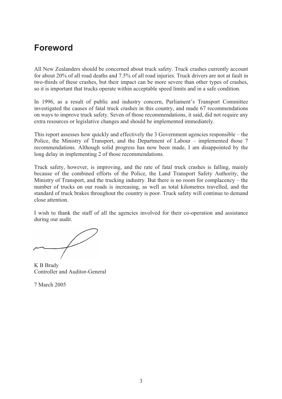# **Foreword**

All New Zealanders should be concerned about truck safety. Truck crashes currently account for about 20% of all road deaths and 7.5% of all road injuries. Truck drivers are not at fault in two-thirds of these crashes, but their impact can be more severe than other types of crashes, so it is important that trucks operate within acceptable speed limits and in a safe condition.

In 1996, as a result of public and industry concern, Parliament's Transport Committee investigated the causes of fatal truck crashes in this country, and made 67 recommendations on ways to improve truck safety. Seven of those recommendations, it said, did not require any extra resources or legislative changes and should be implemented immediately.

This report assesses how quickly and effectively the 3 Government agencies responsible – the Police, the Ministry of Transport, and the Department of Labour – implemented those 7 recommendations. Although solid progress has now been made, I am disappointed by the long delay in implementing 2 of those recommendations.

Truck safety, however, is improving, and the rate of fatal truck crashes is falling, mainly because of the combined efforts of the Police, the Land Transport Safety Authority, the Ministry of Transport, and the trucking industry. But there is no room for complacency – the number of trucks on our roads is increasing, as well as total kilometres travelled, and the standard of truck brakes throughout the country is poor. Truck safety will continue to demand close attention.

I wish to thank the staff of all the agencies involved for their co-operation and assistance during our audit.

K B Brady Controller and Auditor-General

7 March 2005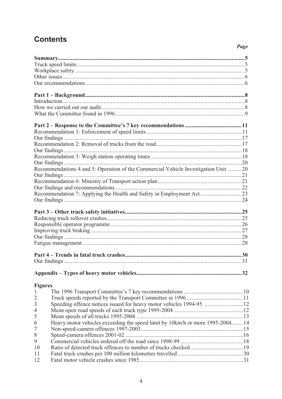# **Contents**

### Page

|                | Recommendations 4 and 5: Operation of the Commercial Vehicle Investigation Unit 20 |  |
|----------------|------------------------------------------------------------------------------------|--|
|                |                                                                                    |  |
|                |                                                                                    |  |
|                |                                                                                    |  |
|                | Recommendation 7: Applying the Health and Safety in Employment Act23               |  |
|                |                                                                                    |  |
|                |                                                                                    |  |
|                |                                                                                    |  |
|                |                                                                                    |  |
|                |                                                                                    |  |
|                |                                                                                    |  |
|                |                                                                                    |  |
|                |                                                                                    |  |
|                |                                                                                    |  |
|                |                                                                                    |  |
|                |                                                                                    |  |
|                |                                                                                    |  |
| <b>Figures</b> |                                                                                    |  |
| $\mathbf{1}$   |                                                                                    |  |
| $\overline{2}$ |                                                                                    |  |
| $\overline{3}$ | Speeding offence notices issued for heavy motor vehicles 1994-95 12                |  |
| $\overline{4}$ |                                                                                    |  |
| 5              |                                                                                    |  |
| 6              | Heavy motor vehicles exceeding the speed limit by 10km/h or more 1995-200414       |  |
| $\overline{7}$ |                                                                                    |  |
| 8              |                                                                                    |  |
| 9              |                                                                                    |  |
| 10             |                                                                                    |  |
| 11             |                                                                                    |  |
| 12             |                                                                                    |  |
|                |                                                                                    |  |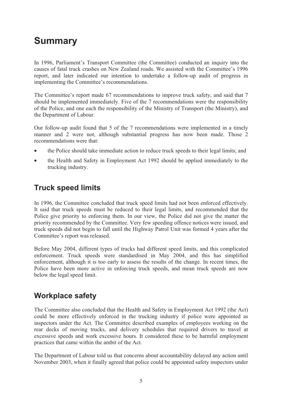# **Summary**

In 1996, Parliament's Transport Committee (the Committee) conducted an inquiry into the causes of fatal truck crashes on New Zealand roads. We assisted with the Committee's 1996 report, and later indicated our intention to undertake a follow-up audit of progress in implementing the Committee's recommendations.

The Committee's report made 67 recommendations to improve truck safety, and said that 7 should be implemented immediately. Five of the 7 recommendations were the responsibility of the Police, and one each the responsibility of the Ministry of Transport (the Ministry), and the Department of Labour.

Our follow-up audit found that 5 of the 7 recommendations were implemented in a timely manner and 2 were not, although substantial progress has now been made. Those 2 recommendations were that:

- the Police should take immediate action to reduce truck speeds to their legal limits; and
- the Health and Safety in Employment Act 1992 should be applied immediately to the trucking industry.

### **Truck speed limits**

In 1996, the Committee concluded that truck speed limits had not been enforced effectively. It said that truck speeds must be reduced to their legal limits, and recommended that the Police give priority to enforcing them. In our view, the Police did not give the matter the priority recommended by the Committee. Very few speeding offence notices were issued, and truck speeds did not begin to fall until the Highway Patrol Unit was formed 4 years after the Committee's report was released.

Before May 2004, different types of trucks had different speed limits, and this complicated enforcement. Truck speeds were standardised in May 2004, and this has simplified enforcement, although it is too early to assess the results of the change. In recent times, the Police have been more active in enforcing truck speeds, and mean truck speeds are now below the legal speed limit.

### **Workplace safety**

The Committee also concluded that the Health and Safety in Employment Act 1992 (the Act) could be more effectively enforced in the trucking industry if police were appointed as inspectors under the Act. The Committee described examples of employees working on the rear decks of moving trucks, and delivery schedules that required drivers to travel at excessive speeds and work excessive hours. It considered these to be harmful employment practices that came within the ambit of the Act.

The Department of Labour told us that concerns about accountability delayed any action until November 2003, when it finally agreed that police could be appointed safety inspectors under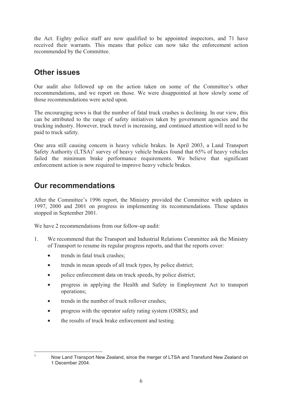the Act. Eighty police staff are now qualified to be appointed inspectors, and 71 have received their warrants. This means that police can now take the enforcement action recommended by the Committee.

### **Other issues**

Our audit also followed up on the action taken on some of the Committee's other recommendations, and we report on those. We were disappointed at how slowly some of those recommendations were acted upon.

The encouraging news is that the number of fatal truck crashes is declining. In our view, this can be attributed to the range of safety initiatives taken by government agencies and the trucking industry. However, truck travel is increasing, and continued attention will need to be paid to truck safety.

One area still causing concern is heavy vehicle brakes. In April 2003, a Land Transport Safety Authority  $(LTSA)^{1}$  survey of heavy vehicle brakes found that 65% of heavy vehicles failed the minimum brake performance requirements. We believe that significant enforcement action is now required to improve heavy vehicle brakes.

### **Our recommendations**

After the Committee's 1996 report, the Ministry provided the Committee with updates in 1997, 2000 and 2001 on progress in implementing its recommendations. These updates stopped in September 2001.

We have 2 recommendations from our follow-up audit:

- 1. We recommend that the Transport and Industrial Relations Committee ask the Ministry of Transport to resume its regular progress reports, and that the reports cover:
	- trends in fatal truck crashes;
	- trends in mean speeds of all truck types, by police district;
	- police enforcement data on truck speeds, by police district;
	- progress in applying the Health and Safety in Employment Act to transport operations;
	- trends in the number of truck rollover crashes;
	- progress with the operator safety rating system (OSRS); and
	- the results of truck brake enforcement and testing.

<sup>1</sup>

Now Land Transport New Zealand, since the merger of LTSA and Transfund New Zealand on 1 December 2004.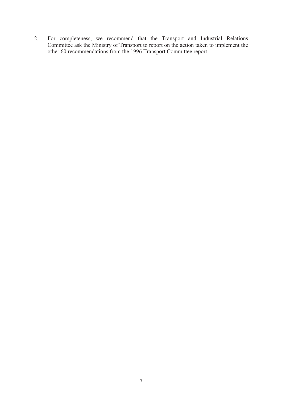2. For completeness, we recommend that the Transport and Industrial Relations Committee ask the Ministry of Transport to report on the action taken to implement the other 60 recommendations from the 1996 Transport Committee report.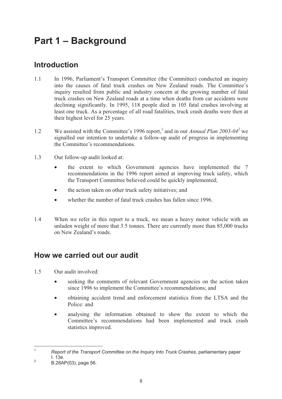# **Part 1 – Background**

## **Introduction**

- 1.1 In 1996, Parliament's Transport Committee (the Committee) conducted an inquiry into the causes of fatal truck crashes on New Zealand roads. The Committee's inquiry resulted from public and industry concern at the growing number of fatal truck crashes on New Zealand roads at a time when deaths from car accidents were declining significantly. In 1995, 118 people died in 105 fatal crashes involving at least one truck. As a percentage of all road fatalities, truck crash deaths were then at their highest level for 25 years.
- 1.2 We assisted with the Committee's 1996 report,<sup>1</sup> and in our *Annual Plan 2003-04*<sup>2</sup> we signalled our intention to undertake a follow-up audit of progress in implementing the Committee's recommendations.
- 1.3 Our follow-up audit looked at:
	- the extent to which Government agencies have implemented the 7 recommendations in the 1996 report aimed at improving truck safety, which the Transport Committee believed could be quickly implemented;
	- the action taken on other truck safety initiatives; and
	- whether the number of fatal truck crashes has fallen since 1996.
- 1.4 When we refer in this report to a truck, we mean a heavy motor vehicle with an unladen weight of more that 3.5 tonnes. There are currently more than 85,000 trucks on New Zealand's roads.

### **How we carried out our audit**

- 1.5 Our audit involved:
	- seeking the comments of relevant Government agencies on the action taken since 1996 to implement the Committee's recommendations; and
	- obtaining accident trend and enforcement statistics from the LTSA and the Police: and
	- analysing the information obtained to show the extent to which the Committee's recommendations had been implemented and truck crash statistics improved.

<sup>1</sup> *Report of the Transport Committee on the Inquiry Into Truck Crashes*, parliamentary paper  $\frac{1}{2}$  1. 13B.

B.28AP(03), page 56.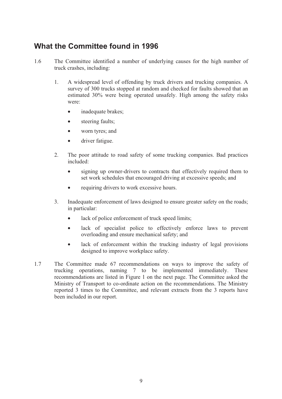### **What the Committee found in 1996**

- 1.6 The Committee identified a number of underlying causes for the high number of truck crashes, including:
	- 1. A widespread level of offending by truck drivers and trucking companies. A survey of 300 trucks stopped at random and checked for faults showed that an estimated 30% were being operated unsafely. High among the safety risks were:
		- inadequate brakes;
		- steering faults;
		- worn tyres; and
		- driver fatigue.
	- 2. The poor attitude to road safety of some trucking companies. Bad practices included:
		- signing up owner-drivers to contracts that effectively required them to set work schedules that encouraged driving at excessive speeds; and
		- requiring drivers to work excessive hours.
	- 3. Inadequate enforcement of laws designed to ensure greater safety on the roads; in particular:
		- lack of police enforcement of truck speed limits;
		- lack of specialist police to effectively enforce laws to prevent overloading and ensure mechanical safety; and
		- lack of enforcement within the trucking industry of legal provisions designed to improve workplace safety.
- 1.7 The Committee made 67 recommendations on ways to improve the safety of trucking operations, naming 7 to be implemented immediately. These recommendations are listed in Figure 1 on the next page. The Committee asked the Ministry of Transport to co-ordinate action on the recommendations. The Ministry reported 3 times to the Committee, and relevant extracts from the 3 reports have been included in our report.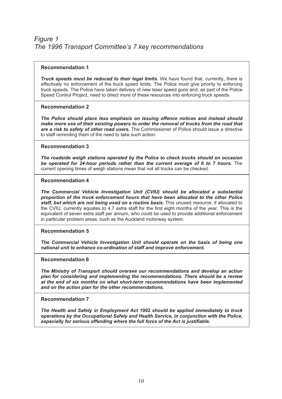#### **Recommendation 1**

*Truck speeds must be reduced to their legal limits.* We have found that, currently, there is effectively no enforcement of the truck speed limits. The Police must give priority to enforcing truck speeds. The Police have taken delivery of new laser speed guns and, as part of the Police Speed Control Project, need to direct more of these resources into enforcing truck speeds.

#### **Recommendation 2**

*The Police should place less emphasis on issuing offence notices and instead should make more use of their existing powers to order the removal of trucks from the road that are a risk to safety of other road users.* The Commissioner of Police should issue a directive to staff reminding them of the need to take such action.

#### **Recommendation 3**

*The roadside weigh stations operated by the Police to check trucks should on occasion be operated for 24-hour periods rather than the current average of 6 to 7 hours.* The current opening times of weigh stations mean that not all trucks can be checked.

#### **Recommendation 4**

*The Commercial Vehicle Investigation Unit (CVIU) should be allocated a substantial proportion of the truck enforcement hours that have been allocated to the other Police staff, but which are not being used on a routine basis.* This unused resource, if allocated to the CVIU, currently equates to 4.7 extra staff for the first eight months of the year. This is the equivalent of seven extra staff per annum, who could be used to provide additional enforcement in particular problem areas, such as the Auckland motorway system.

#### **Recommendation 5**

*The Commercial Vehicle Investigation Unit should operate on the basis of being one national unit to enhance co-ordination of staff and improve enforcement.* 

#### **Recommendation 6**

*The Ministry of Transport should oversee our recommendations and develop an action plan for considering and implementing the recommendations. There should be a review at the end of six months on what short-term recommendations have been implemented and on the action plan for the other recommendations.* 

#### **Recommendation 7**

*The Health and Safety in Employment Act 1992 should be applied immediately to truck operations by the Occupational Safety and Health Service, in conjunction with the Police, especially for serious offending where the full force of the Act is justifiable.*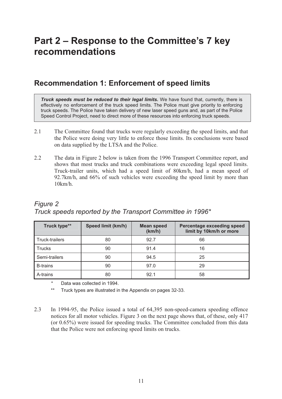# **Part 2 – Response to the Committee's 7 key recommendations**

### **Recommendation 1: Enforcement of speed limits**

*Truck speeds must be reduced to their legal limits.* We have found that, currently, there is effectively no enforcement of the truck speed limits. The Police must give priority to enforcing truck speeds. The Police have taken delivery of new laser speed guns and, as part of the Police Speed Control Project, need to direct more of these resources into enforcing truck speeds.

- 2.1 The Committee found that trucks were regularly exceeding the speed limits, and that the Police were doing very little to enforce those limits. Its conclusions were based on data supplied by the LTSA and the Police.
- 2.2 The data in Figure 2 below is taken from the 1996 Transport Committee report, and shows that most trucks and truck combinations were exceeding legal speed limits. Truck-trailer units, which had a speed limit of 80km/h, had a mean speed of 92.7km/h, and 66% of such vehicles were exceeding the speed limit by more than 10km/h.

### *Figure 2 Truck speeds reported by the Transport Committee in 1996\**

| Truck type**    | Speed limit (km/h) | <b>Mean speed</b><br>(km/h) | <b>Percentage exceeding speed</b><br>limit by 10km/h or more |
|-----------------|--------------------|-----------------------------|--------------------------------------------------------------|
| Truck-trailers  | 80                 | 92.7                        | 66                                                           |
| <b>Trucks</b>   | 90                 | 91.4                        | 16                                                           |
| Semi-trailers   | 90                 | 94.5                        | 25                                                           |
| <b>B-trains</b> | 90                 | 97.0                        | 29                                                           |
| A-trains        | 80                 | 92.1                        | 58                                                           |

Data was collected in 1994.

Truck types are illustrated in the Appendix on pages 32-33.

2.3 In 1994-95, the Police issued a total of 64,395 non-speed-camera speeding offence notices for all motor vehicles. Figure 3 on the next page shows that, of these, only 417 (or 0.65%) were issued for speeding trucks. The Committee concluded from this data that the Police were not enforcing speed limits on trucks.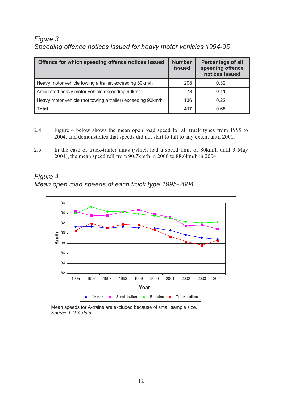### *Figure 3 Speeding offence notices issued for heavy motor vehicles 1994-95*

| Offence for which speeding offence notices issued           | <b>Number</b><br><b>issued</b> | <b>Percentage of all</b><br>speeding offence<br>notices issued |
|-------------------------------------------------------------|--------------------------------|----------------------------------------------------------------|
| Heavy motor vehicle towing a trailer, exceeding 80km/h      | 208                            | 0.32                                                           |
| Articulated heavy motor vehicle exceeding 90km/h            | 73                             | 0.11                                                           |
| Heavy motor vehicle (not towing a trailer) exceeding 90km/h | 136                            | 0.22                                                           |
| <b>Total</b>                                                | 417                            | 0.65                                                           |

- 2.4 Figure 4 below shows the mean open road speed for all truck types from 1995 to 2004, and demonstrates that speeds did not start to fall to any extent until 2000.
- 2.5 In the case of truck-trailer units (which had a speed limit of 80km/h until 3 May 2004), the mean speed fell from 90.7km/h in 2000 to 88.6km/h in 2004.

*Figure 4 Mean open road speeds of each truck type 1995-2004* 



Mean speeds for A-trains are excluded because of small sample size.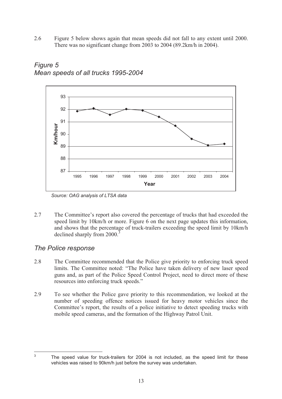2.6 Figure 5 below shows again that mean speeds did not fall to any extent until 2000. There was no significant change from 2003 to 2004 (89.2km/h in 2004).



*Figure 5 Mean speeds of all trucks 1995-2004* 

2.7 The Committee's report also covered the percentage of trucks that had exceeded the speed limit by 10km/h or more. Figure 6 on the next page updates this information, and shows that the percentage of truck-trailers exceeding the speed limit by 10km/h declined sharply from 2000.<sup>3</sup>

### *The Police response*

- 2.8 The Committee recommended that the Police give priority to enforcing truck speed limits. The Committee noted: "The Police have taken delivery of new laser speed guns and, as part of the Police Speed Control Project, need to direct more of these resources into enforcing truck speeds."
- 2.9 To see whether the Police gave priority to this recommendation, we looked at the number of speeding offence notices issued for heavy motor vehicles since the Committee's report, the results of a police initiative to detect speeding trucks with mobile speed cameras, and the formation of the Highway Patrol Unit.

3

*Source: OAG analysis of LTSA data* 

The speed value for truck-trailers for 2004 is not included, as the speed limit for these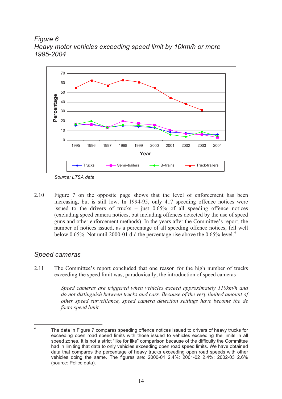*Figure 6 Heavy motor vehicles exceeding speed limit by 10km/h or more 1995-2004*



*Source: LTSA data* 

2.10 Figure 7 on the opposite page shows that the level of enforcement has been increasing, but is still low. In 1994-95, only 417 speeding offence notices were issued to the drivers of trucks – just  $0.65\%$  of all speeding offence notices (excluding speed camera notices, but including offences detected by the use of speed guns and other enforcement methods). In the years after the Committee's report, the number of notices issued, as a percentage of all speeding offence notices, fell well below 0.65%. Not until 2000-01 did the percentage rise above the  $0.65\%$  level.<sup>4</sup>

### *Speed cameras*

2.11 The Committee's report concluded that one reason for the high number of trucks exceeding the speed limit was, paradoxically, the introduction of speed cameras –

> *Speed cameras are triggered when vehicles exceed approximately 110km/h and do not distinguish between trucks and cars. Because of the very limited amount of other speed surveillance, speed camera detection settings have become the de facto speed limit.*

<sup>4</sup> The data in Figure 7 compares speeding offence notices issued to drivers of heavy trucks for exceeding open road speed limits with those issued to vehicles exceeding the limits in all speed zones. It is not a strict "like for like" comparison because of the difficulty the Committee had in limiting that data to only vehicles exceeding open road speed limits. We have obtained data that compares the percentage of heavy trucks exceeding open road speeds with other vehicles doing the same. The figures are: 2000-01 2.4%; 2001-02 2.4%; 2002-03 2.6% (source: Police data).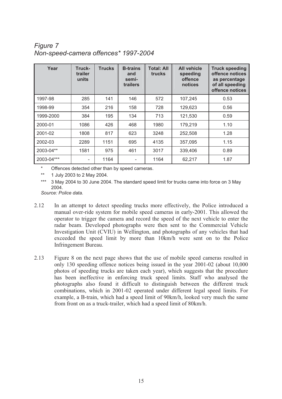### *Figure 7 Non-speed-camera offences\* 1997-2004*

| Year       | Truck-<br>trailer<br>units | <b>Trucks</b> | <b>B-trains</b><br>and<br>semi-<br>trailers | <b>Total: All</b><br><b>trucks</b> | <b>All vehicle</b><br>speeding<br>offence<br>notices | <b>Truck speeding</b><br>offence notices<br>as percentage<br>of all speeding<br>offence notices |
|------------|----------------------------|---------------|---------------------------------------------|------------------------------------|------------------------------------------------------|-------------------------------------------------------------------------------------------------|
| 1997-98    | 285                        | 141           | 146                                         | 572                                | 107,245                                              | 0.53                                                                                            |
| 1998-99    | 354                        | 216           | 158                                         | 728                                | 129,623                                              | 0.56                                                                                            |
| 1999-2000  | 384                        | 195           | 134                                         | 713                                | 121,530                                              | 0.59                                                                                            |
| 2000-01    | 1086                       | 426           | 468                                         | 1980                               | 179,219                                              | 1.10                                                                                            |
| 2001-02    | 1808                       | 817           | 623                                         | 3248                               | 252,508                                              | 1.28                                                                                            |
| 2002-03    | 2289                       | 1151          | 695                                         | 4135                               | 357,095                                              | 1.15                                                                                            |
| 2003-04**  | 1581                       | 975           | 461                                         | 3017                               | 339,406                                              | 0.89                                                                                            |
| 2003-04*** |                            | 1164          |                                             | 1164                               | 62,217                                               | 1.87                                                                                            |

Offences detected other than by speed cameras.

\*\* 1 July 2003 to 2 May 2004.

3 May 2004 to 30 June 2004. The standard speed limit for trucks came into force on 3 May 2004.

*Source: Police data.* 

- 2.12 In an attempt to detect speeding trucks more effectively, the Police introduced a manual over-ride system for mobile speed cameras in early-2001. This allowed the operator to trigger the camera and record the speed of the next vehicle to enter the radar beam. Developed photographs were then sent to the Commercial Vehicle Investigation Unit (CVIU) in Wellington, and photographs of any vehicles that had exceeded the speed limit by more than 10km/h were sent on to the Police Infringement Bureau.
- 2.13 Figure 8 on the next page shows that the use of mobile speed cameras resulted in only 130 speeding offence notices being issued in the year 2001-02 (about 10,000 photos of speeding trucks are taken each year), which suggests that the procedure has been ineffective in enforcing truck speed limits. Staff who analysed the photographs also found it difficult to distinguish between the different truck combinations, which in 2001-02 operated under different legal speed limits. For example, a B-train, which had a speed limit of 90km/h, looked very much the same from front on as a truck-trailer, which had a speed limit of 80km/h.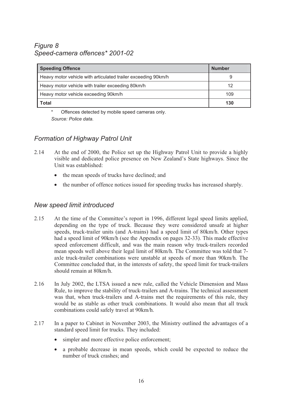### *Figure 8 Speed-camera offences\* 2001-02*

| <b>Speeding Offence</b>                                       | <b>Number</b> |
|---------------------------------------------------------------|---------------|
| Heavy motor vehicle with articulated trailer exceeding 90km/h | 9             |
| Heavy motor vehicle with trailer exceeding 80km/h             | 12            |
| Heavy motor vehicle exceeding 90km/h                          | 109           |
| <b>Total</b>                                                  | 130           |

Offences detected by mobile speed cameras only. *Source: Police data.* 

### *Formation of Highway Patrol Unit*

- 2.14 At the end of 2000, the Police set up the Highway Patrol Unit to provide a highly visible and dedicated police presence on New Zealand's State highways. Since the Unit was established:
	- the mean speeds of trucks have declined; and
	- the number of offence notices issued for speeding trucks has increased sharply.

### *New speed limit introduced*

- 2.15 At the time of the Committee's report in 1996, different legal speed limits applied, depending on the type of truck. Because they were considered unsafe at higher speeds, truck-trailer units (and A-trains) had a speed limit of 80km/h. Other types had a speed limit of 90km/h (see the Appendix on pages 32-33). This made effective speed enforcement difficult, and was the main reason why truck-trailers recorded mean speeds well above their legal limit of 80km/h. The Committee was told that 7 axle truck-trailer combinations were unstable at speeds of more than 90km/h. The Committee concluded that, in the interests of safety, the speed limit for truck-trailers should remain at 80km/h.
- 2.16 In July 2002, the LTSA issued a new rule, called the Vehicle Dimension and Mass Rule, to improve the stability of truck-trailers and A-trains. The technical assessment was that, when truck-trailers and A-trains met the requirements of this rule, they would be as stable as other truck combinations. It would also mean that all truck combinations could safely travel at 90km/h.
- 2.17 In a paper to Cabinet in November 2003, the Ministry outlined the advantages of a standard speed limit for trucks. They included:
	- simpler and more effective police enforcement;
	- a probable decrease in mean speeds, which could be expected to reduce the number of truck crashes; and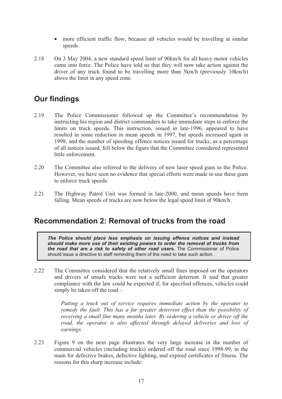- more efficient traffic flow, because all vehicles would be travelling at similar speeds.
- 2.18 On 3 May 2004, a new standard speed limit of 90km/h for all heavy motor vehicles came into force. The Police have told us that they will now take action against the driver of any truck found to be travelling more than 5km/h (previously 10km/h) above the limit in any speed zone.

### **Our findings**

- 2.19 The Police Commissioner followed up the Committee's recommendation by instructing his region and district commanders to take immediate steps to enforce the limits on truck speeds. This instruction, issued in late-1996, appeared to have resulted in some reduction in mean speeds in 1997, but speeds increased again in 1998, and the number of speeding offence notices issued for trucks, as a percentage of all notices issued, fell below the figure that the Committee considered represented little enforcement.
- 2.20 The Committee also referred to the delivery of new laser speed guns to the Police. However, we have seen no evidence that special efforts were made to use these guns to enforce truck speeds.
- 2.21 The Highway Patrol Unit was formed in late-2000, and mean speeds have been falling. Mean speeds of trucks are now below the legal speed limit of 90km/h.

### **Recommendation 2: Removal of trucks from the road**

*The Police should place less emphasis on issuing offence notices and instead should make more use of their existing powers to order the removal of trucks from the road that are a risk to safety of other road users.* The Commissioner of Police should issue a directive to staff reminding them of the need to take such action.

2.22 The Committee considered that the relatively small fines imposed on the operators and drivers of unsafe trucks were not a sufficient deterrent. It said that greater compliance with the law could be expected if, for specified offences, vehicles could simply be taken off the road –

> *Putting a truck out of service requires immediate action by the operator to remedy the fault. This has a far greater deterrent effect than the possibility of receiving a small fine many months later. By ordering a vehicle or driver off the road, the operator is also affected through delayed deliveries and loss of earnings.*

2.23 Figure 9 on the next page illustrates the very large increase in the number of commercial vehicles (including trucks) ordered off the road since 1998-99, in the main for defective brakes, defective lighting, and expired certificates of fitness. The reasons for this sharp increase include: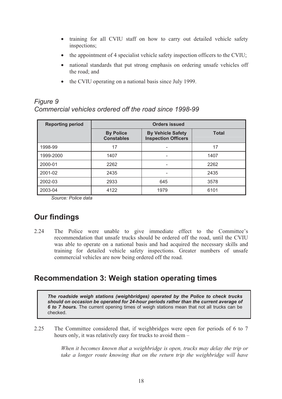- training for all CVIU staff on how to carry out detailed vehicle safety inspections;
- the appointment of 4 specialist vehicle safety inspection officers to the CVIU;
- national standards that put strong emphasis on ordering unsafe vehicles off the road; and
- the CVIU operating on a national basis since July 1999.

### *Figure 9 Commercial vehicles ordered off the road since 1998-99*

| <b>Reporting period</b> | Orders issued                         |                                                        |              |  |
|-------------------------|---------------------------------------|--------------------------------------------------------|--------------|--|
|                         | <b>By Police</b><br><b>Constables</b> | <b>By Vehicle Safety</b><br><b>Inspection Officers</b> | <b>Total</b> |  |
| 1998-99                 | 17                                    | -                                                      | 17           |  |
| 1999-2000               | 1407                                  | $\overline{\phantom{0}}$                               | 1407         |  |
| 2000-01                 | 2262                                  | $\qquad \qquad$                                        | 2262         |  |
| 2001-02                 | 2435                                  |                                                        | 2435         |  |
| 2002-03                 | 2933                                  | 645                                                    | 3578         |  |
| 2003-04                 | 4122                                  | 1979                                                   | 6101         |  |

*Source: Police data* 

# **Our findings**

2.24 The Police were unable to give immediate effect to the Committee's recommendation that unsafe trucks should be ordered off the road, until the CVIU was able to operate on a national basis and had acquired the necessary skills and training for detailed vehicle safety inspections. Greater numbers of unsafe commercial vehicles are now being ordered off the road.

### **Recommendation 3: Weigh station operating times**

*The roadside weigh stations (weighbridges) operated by the Police to check trucks should on occasion be operated for 24-hour periods rather than the current average of 6 to 7 hours.* The current opening times of weigh stations mean that not all trucks can be checked.

2.25 The Committee considered that, if weighbridges were open for periods of 6 to 7 hours only, it was relatively easy for trucks to avoid them –

> *When it becomes known that a weighbridge is open, trucks may delay the trip or take a longer route knowing that on the return trip the weighbridge will have*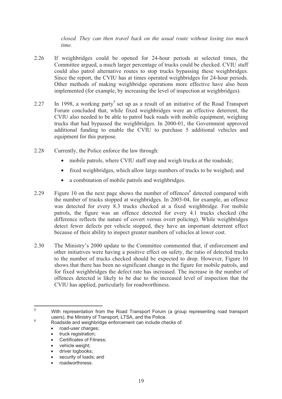*closed. They can then travel back on the usual route without losing too much time.*

- 2.26 If weighbridges could be opened for 24-hour periods at selected times, the Committee argued, a much larger percentage of trucks could be checked. CVIU staff could also patrol alternative routes to stop trucks bypassing these weighbridges. Since the report, the CVIU has at times operated weighbridges for 24-hour periods. Other methods of making weighbridge operations more effective have also been implemented (for example, by increasing the level of inspection at weighbridges).
- 2.27 In 1998, a working party<sup>5</sup> set up as a result of an initiative of the Road Transport Forum concluded that, while fixed weighbridges were an effective deterrent, the CVIU also needed to be able to patrol back roads with mobile equipment, weighing trucks that had bypassed the weighbridges. In 2000-01, the Government approved additional funding to enable the CVIU to purchase 5 additional vehicles and equipment for this purpose.
- 2.28 Currently, the Police enforce the law through:
	- mobile patrols, where CVIU staff stop and weigh trucks at the roadside;
	- fixed weighbridges, which allow large numbers of trucks to be weighed; and
	- a combination of mobile patrols and weighbridges.
- 2.29 Figure 10 on the next page shows the number of offences<sup>6</sup> detected compared with the number of trucks stopped at weighbridges. In 2003-04, for example, an offence was detected for every 8.3 trucks checked at a fixed weighbridge. For mobile patrols, the figure was an offence detected for every 4.1 trucks checked (the difference reflects the nature of covert versus overt policing). While weighbridges detect fewer defects per vehicle stopped, they have an important deterrent effect because of their ability to inspect greater numbers of vehicles at lower cost.
- 2.30 The Ministry's 2000 update to the Committee commented that, if enforcement and other initiatives were having a positive effect on safety, the ratio of detected trucks to the number of trucks checked should be expected to drop. However, Figure 10 shows that there has been no significant change in the figure for mobile patrols, and for fixed weighbridges the defect rate has increased. The increase in the number of offences detected is likely to be due to the increased level of inspection that the CVIU has applied, particularly for roadworthiness.

- road-user charges;
- truck registration;
- Certificates of Fitness;
- vehicle weight:
- driver logbooks;
- security of loads; and
- roadworthiness.

<sup>5</sup> With representation from the Road Transport Forum (a group representing road transport users), the Ministry of Transport, LTSA, and the Police.

Roadside and weighbridge enforcement can include checks of: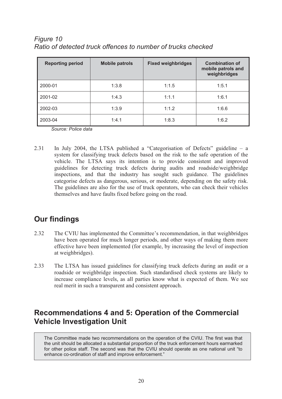| Figure 10                                                    |
|--------------------------------------------------------------|
| Ratio of detected truck offences to number of trucks checked |

| <b>Reporting period</b> | <b>Mobile patrols</b> | <b>Fixed weighbridges</b> | <b>Combination of</b><br>mobile patrols and<br>weighbridges |
|-------------------------|-----------------------|---------------------------|-------------------------------------------------------------|
| 2000-01                 | 1:3.8                 | 1:1.5                     | 1:5.1                                                       |
| 2001-02                 | 1:4.3                 | 1:1.1                     | 1:6.1                                                       |
| 2002-03                 | 1:3.9                 | 1:1.2                     | 1:6.6                                                       |
| 2003-04                 | 1:4.1                 | 1:8.3                     | 1:6.2                                                       |

*Source: Police data* 

2.31 In July 2004, the LTSA published a "Categorisation of Defects" guideline – a system for classifying truck defects based on the risk to the safe operation of the vehicle. The LTSA says its intention is to provide consistent and improved guidelines for detecting truck defects during audits and roadside/weighbridge inspections, and that the industry has sought such guidance. The guidelines categorise defects as dangerous, serious, or moderate, depending on the safety risk. The guidelines are also for the use of truck operators, who can check their vehicles themselves and have faults fixed before going on the road.

### **Our findings**

- 2.32 The CVIU has implemented the Committee's recommendation, in that weighbridges have been operated for much longer periods, and other ways of making them more effective have been implemented (for example, by increasing the level of inspection at weighbridges).
- 2.33 The LTSA has issued guidelines for classifying truck defects during an audit or a roadside or weighbridge inspection. Such standardised check systems are likely to increase compliance levels, as all parties know what is expected of them. We see real merit in such a transparent and consistent approach.

### **Recommendations 4 and 5: Operation of the Commercial Vehicle Investigation Unit**

The Committee made two recommendations on the operation of the CVIU. The first was that the unit should be allocated a substantial proportion of the truck enforcement hours earmarked for other police staff. The second was that the CVIU should operate as one national unit "to enhance co-ordination of staff and improve enforcement."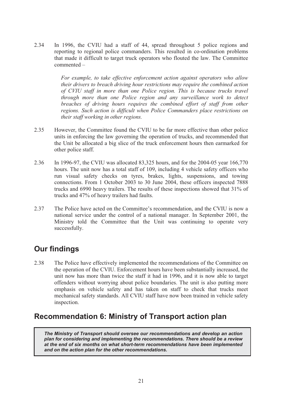2.34 In 1996, the CVIU had a staff of 44, spread throughout 5 police regions and reporting to regional police commanders. This resulted in co-ordination problems that made it difficult to target truck operators who flouted the law. The Committee commented –

> *For example, to take effective enforcement action against operators who allow their drivers to breach driving hour restrictions may require the combined action of CVIU staff in more than one Police region. This is because trucks travel through more than one Police region and any surveillance work to detect breaches of driving hours requires the combined effort of staff from other regions. Such action is difficult when Police Commanders place restrictions on their staff working in other regions.*

- 2.35 However, the Committee found the CVIU to be far more effective than other police units in enforcing the law governing the operation of trucks, and recommended that the Unit be allocated a big slice of the truck enforcement hours then earmarked for other police staff.
- 2.36 In 1996-97, the CVIU was allocated 83,325 hours, and for the 2004-05 year 166,770 hours. The unit now has a total staff of 109, including 4 vehicle safety officers who run visual safety checks on tyres, brakes, lights, suspensions, and towing connections. From 1 October 2003 to 30 June 2004, these officers inspected 7888 trucks and 6990 heavy trailers. The results of these inspections showed that 31% of trucks and 47% of heavy trailers had faults.
- 2.37 The Police have acted on the Committee's recommendation, and the CVIU is now a national service under the control of a national manager. In September 2001, the Ministry told the Committee that the Unit was continuing to operate very successfully.

## **Our findings**

2.38 The Police have effectively implemented the recommendations of the Committee on the operation of the CVIU. Enforcement hours have been substantially increased, the unit now has more than twice the staff it had in 1996, and it is now able to target offenders without worrying about police boundaries. The unit is also putting more emphasis on vehicle safety and has taken on staff to check that trucks meet mechanical safety standards. All CVIU staff have now been trained in vehicle safety inspection.

### **Recommendation 6: Ministry of Transport action plan**

*The Ministry of Transport should oversee our recommendations and develop an action plan for considering and implementing the recommendations. There should be a review at the end of six months on what short-term recommendations have been implemented and on the action plan for the other recommendations.*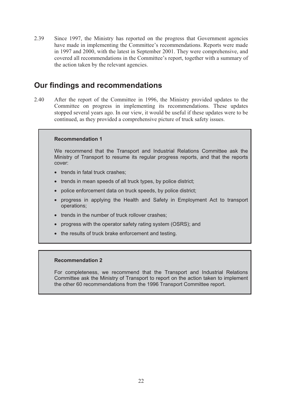2.39 Since 1997, the Ministry has reported on the progress that Government agencies have made in implementing the Committee's recommendations. Reports were made in 1997 and 2000, with the latest in September 2001. They were comprehensive, and covered all recommendations in the Committee's report, together with a summary of the action taken by the relevant agencies.

### **Our findings and recommendations**

2.40 After the report of the Committee in 1996, the Ministry provided updates to the Committee on progress in implementing its recommendations. These updates stopped several years ago. In our view, it would be useful if these updates were to be continued, as they provided a comprehensive picture of truck safety issues.

#### **Recommendation 1**

We recommend that the Transport and Industrial Relations Committee ask the Ministry of Transport to resume its regular progress reports, and that the reports cover:

- trends in fatal truck crashes;
- trends in mean speeds of all truck types, by police district;
- police enforcement data on truck speeds, by police district;
- progress in applying the Health and Safety in Employment Act to transport operations;
- trends in the number of truck rollover crashes:
- progress with the operator safety rating system (OSRS); and
- the results of truck brake enforcement and testing.

#### **Recommendation 2**

For completeness, we recommend that the Transport and Industrial Relations Committee ask the Ministry of Transport to report on the action taken to implement the other 60 recommendations from the 1996 Transport Committee report.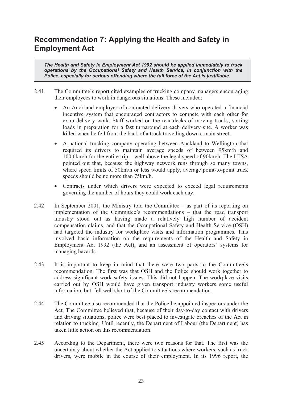## **Recommendation 7: Applying the Health and Safety in Employment Act**

*The Health and Safety in Employment Act 1992 should be applied immediately to truck operations by the Occupational Safety and Health Service, in conjunction with the Police, especially for serious offending where the full force of the Act is justifiable.* 

- 2.41 The Committee's report cited examples of trucking company managers encouraging their employees to work in dangerous situations. These included:
	- An Auckland employer of contracted delivery drivers who operated a financial incentive system that encouraged contractors to compete with each other for extra delivery work. Staff worked on the rear decks of moving trucks, sorting loads in preparation for a fast turnaround at each delivery site. A worker was killed when he fell from the back of a truck travelling down a main street.
	- A national trucking company operating between Auckland to Wellington that required its drivers to maintain average speeds of between 95km/h and 100.6km/h for the entire trip – well above the legal speed of 90km/h. The LTSA pointed out that, because the highway network runs through so many towns, where speed limits of 50km/h or less would apply, average point-to-point truck speeds should be no more than 75km/h.
	- Contracts under which drivers were expected to exceed legal requirements governing the number of hours they could work each day.
- 2.42 In September 2001, the Ministry told the Committee as part of its reporting on implementation of the Committee's recommendations – that the road transport industry stood out as having made a relatively high number of accident compensation claims, and that the Occupational Safety and Health Service (OSH) had targeted the industry for workplace visits and information programmes. This involved basic information on the requirements of the Health and Safety in Employment Act 1992 (the Act), and an assessment of operators' systems for managing hazards*.*
- 2.43 It is important to keep in mind that there were two parts to the Committee's recommendation. The first was that OSH and the Police should work together to address significant work safety issues. This did not happen. The workplace visits carried out by OSH would have given transport industry workers some useful information, but fell well short of the Committee's recommendation.
- 2.44 The Committee also recommended that the Police be appointed inspectors under the Act. The Committee believed that, because of their day-to-day contact with drivers and driving situations, police were best placed to investigate breaches of the Act in relation to trucking*.* Until recently, the Department of Labour (the Department) has taken little action on this recommendation.
- 2.45 According to the Department, there were two reasons for that. The first was the uncertainty about whether the Act applied to situations where workers, such as truck drivers, were mobile in the course of their employment. In its 1996 report, the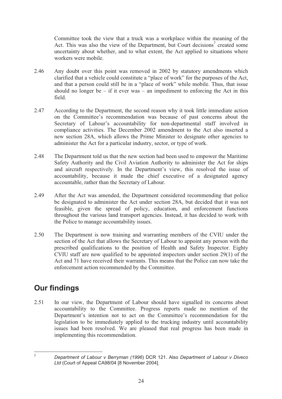Committee took the view that a truck was a workplace within the meaning of the Act. This was also the view of the Department, but Court decisions<sup>7</sup> created some uncertainty about whether, and to what extent, the Act applied to situations where workers were mobile.

- 2.46 Any doubt over this point was removed in 2002 by statutory amendments which clarified that a vehicle could constitute a "place of work" for the purposes of the Act, and that a person could still be in a "place of work" while mobile. Thus, that issue should no longer be – if it ever was – an impediment to enforcing the Act in this field.
- 2.47 According to the Department, the second reason why it took little immediate action on the Committee's recommendation was because of past concerns about the Secretary of Labour's accountability for non-departmental staff involved in compliance activities. The December 2002 amendment to the Act also inserted a new section 28A, which allows the Prime Minister to designate other agencies to administer the Act for a particular industry, sector, or type of work.
- 2.48 The Department told us that the new section had been used to empower the Maritime Safety Authority and the Civil Aviation Authority to administer the Act for ships and aircraft respectively. In the Department's view, this resolved the issue of accountability, because it made the chief executive of a designated agency accountable, rather than the Secretary of Labour.
- 2.49 After the Act was amended, the Department considered recommending that police be designated to administer the Act under section 28A, but decided that it was not feasible, given the spread of policy, education, and enforcement functions throughout the various land transport agencies. Instead, it has decided to work with the Police to manage accountability issues.
- 2.50 The Department is now training and warranting members of the CVIU under the section of the Act that allows the Secretary of Labour to appoint any person with the prescribed qualifications to the position of Health and Safety Inspector. Eighty CVIU staff are now qualified to be appointed inspectors under section 29(1) of the Act and 71 have received their warrants. This means that the Police can now take the enforcement action recommended by the Committee.

## **Our findings**

2.51 In our view, the Department of Labour should have signalled its concerns about accountability to the Committee. Progress reports made no mention of the Department's intention not to act on the Committee's recommendation for the legislation to be immediately applied to the trucking industry until accountability issues had been resolved. We are pleased that real progress has been made in implementing this recommendation.

<sup>7</sup> *Department of Labour v Berryman (1996*) DCR 121. Also *Department of Labour v Diveco Ltd* (Court of Appeal CA98/04 [8 November 2004].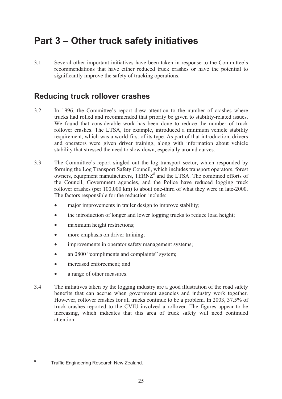# **Part 3 – Other truck safety initiatives**

3.1 Several other important initiatives have been taken in response to the Committee's recommendations that have either reduced truck crashes or have the potential to significantly improve the safety of trucking operations.

### **Reducing truck rollover crashes**

- 3.2 In 1996, the Committee's report drew attention to the number of crashes where trucks had rolled and recommended that priority be given to stability-related issues. We found that considerable work has been done to reduce the number of truck rollover crashes. The LTSA, for example, introduced a minimum vehicle stability requirement, which was a world-first of its type. As part of that introduction, drivers and operators were given driver training, along with information about vehicle stability that stressed the need to slow down, especially around curves.
- 3.3 The Committee's report singled out the log transport sector, which responded by forming the Log Transport Safety Council, which includes transport operators, forest owners, equipment manufacturers, TERNZ<sup>8</sup> and the LTSA. The combined efforts of the Council, Government agencies, and the Police have reduced logging truck rollover crashes (per 100,000 km) to about one-third of what they were in late-2000. The factors responsible for the reduction include:
	- major improvements in trailer design to improve stability;
	- the introduction of longer and lower logging trucks to reduce load height;
	- maximum height restrictions;
	- more emphasis on driver training;
	- improvements in operator safety management systems;
	- an 0800 "compliments and complaints" system;
	- increased enforcement: and
	- a range of other measures.
- 3.4 The initiatives taken by the logging industry are a good illustration of the road safety benefits that can accrue when government agencies and industry work together. However, rollover crashes for all trucks continue to be a problem. In 2003, 37.5% of truck crashes reported to the CVIU involved a rollover. The figures appear to be increasing, which indicates that this area of truck safety will need continued attention.

<sup>8</sup>

Traffic Engineering Research New Zealand.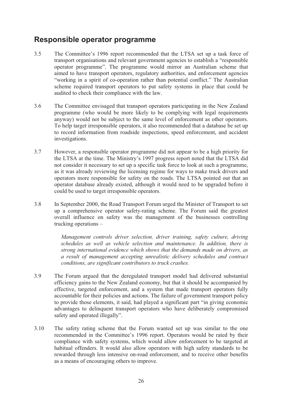### **Responsible operator programme**

- 3.5 The Committee's 1996 report recommended that the LTSA set up a task force of transport organisations and relevant government agencies to establish a "responsible operator programme". The programme would mirror an Australian scheme that aimed to have transport operators, regulatory authorities, and enforcement agencies "working in a spirit of co-operation rather than potential conflict." The Australian scheme required transport operators to put safety systems in place that could be audited to check their compliance with the law.
- 3.6 The Committee envisaged that transport operators participating in the New Zealand programme (who would be more likely to be complying with legal requirements anyway) would not be subject to the same level of enforcement as other operators. To help target irresponsible operators, it also recommended that a database be set up to record information from roadside inspections, speed enforcement, and accident investigations.
- 3.7 However, a responsible operator programme did not appear to be a high priority for the LTSA at the time. The Ministry's 1997 progress report noted that the LTSA did not consider it necessary to set up a specific task force to look at such a programme, as it was already reviewing the licensing regime for ways to make truck drivers and operators more responsible for safety on the roads. The LTSA pointed out that an operator database already existed, although it would need to be upgraded before it could be used to target irresponsible operators.
- 3.8 In September 2000, the Road Transport Forum urged the Minister of Transport to set up a comprehensive operator safety-rating scheme. The Forum said the greatest overall influence on safety was the management of the businesses controlling trucking operations –

*Management controls driver selection, driver training, safety culture, driving schedules as well as vehicle selection and maintenance. In addition, there is strong international evidence which shows that the demands made on drivers, as a result of management accepting unrealistic delivery schedules and contract conditions, are significant contributors to truck crashes.*

- 3.9 The Forum argued that the deregulated transport model had delivered substantial efficiency gains to the New Zealand economy, but that it should be accompanied by effective, targeted enforcement, and a system that made transport operators fully accountable for their policies and actions. The failure of government transport policy to provide those elements, it said, had played a significant part "in giving economic advantages to delinquent transport operators who have deliberately compromised safety and operated illegally".
- 3.10 The safety rating scheme that the Forum wanted set up was similar to the one recommended in the Committee's 1996 report. Operators would be rated by their compliance with safety systems, which would allow enforcement to be targeted at habitual offenders. It would also allow operators with high safety standards to be rewarded through less intensive on-road enforcement, and to receive other benefits as a means of encouraging others to improve.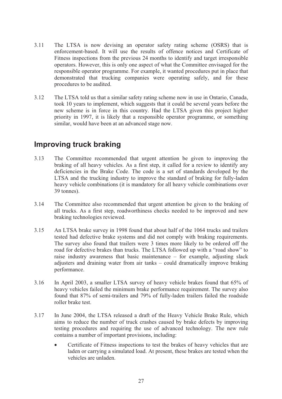- 3.11 The LTSA is now devising an operator safety rating scheme (OSRS) that is enforcement-based. It will use the results of offence notices and Certificate of Fitness inspections from the previous 24 months to identify and target irresponsible operators. However, this is only one aspect of what the Committee envisaged for the responsible operator programme. For example, it wanted procedures put in place that demonstrated that trucking companies were operating safely, and for these procedures to be audited.
- 3.12 The LTSA told us that a similar safety rating scheme now in use in Ontario, Canada, took 10 years to implement, which suggests that it could be several years before the new scheme is in force in this country. Had the LTSA given this project higher priority in 1997, it is likely that a responsible operator programme, or something similar, would have been at an advanced stage now.

### **Improving truck braking**

- 3.13 The Committee recommended that urgent attention be given to improving the braking of all heavy vehicles. As a first step, it called for a review to identify any deficiencies in the Brake Code. The code is a set of standards developed by the LTSA and the trucking industry to improve the standard of braking for fully-laden heavy vehicle combinations (it is mandatory for all heavy vehicle combinations over 39 tonnes).
- 3.14 The Committee also recommended that urgent attention be given to the braking of all trucks. As a first step, roadworthiness checks needed to be improved and new braking technologies reviewed.
- 3.15 An LTSA brake survey in 1998 found that about half of the 1064 trucks and trailers tested had defective brake systems and did not comply with braking requirements. The survey also found that trailers were 3 times more likely to be ordered off the road for defective brakes than trucks. The LTSA followed up with a "road show" to raise industry awareness that basic maintenance – for example, adjusting slack adjusters and draining water from air tanks – could dramatically improve braking performance.
- 3.16 In April 2003, a smaller LTSA survey of heavy vehicle brakes found that 65% of heavy vehicles failed the minimum brake performance requirement. The survey also found that 87% of semi-trailers and 79% of fully-laden trailers failed the roadside roller brake test.
- 3.17 In June 2004, the LTSA released a draft of the Heavy Vehicle Brake Rule, which aims to reduce the number of truck crashes caused by brake defects by improving testing procedures and requiring the use of advanced technology. The new rule contains a number of important provisions, including:
	- Certificate of Fitness inspections to test the brakes of heavy vehicles that are laden or carrying a simulated load. At present, these brakes are tested when the vehicles are unladen.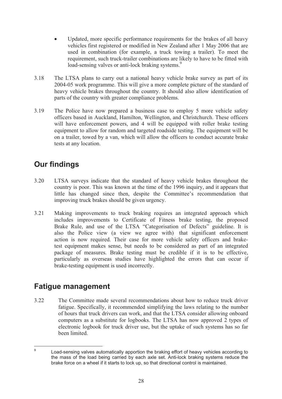- Updated, more specific performance requirements for the brakes of all heavy vehicles first registered or modified in New Zealand after 1 May 2006 that are used in combination (for example, a truck towing a trailer). To meet the requirement, such truck-trailer combinations are likely to have to be fitted with load-sensing valves or anti-lock braking systems.<sup>9</sup>
- 3.18 The LTSA plans to carry out a national heavy vehicle brake survey as part of its 2004-05 work programme. This will give a more complete picture of the standard of heavy vehicle brakes throughout the country. It should also allow identification of parts of the country with greater compliance problems.
- 3.19 The Police have now prepared a business case to employ 5 more vehicle safety officers based in Auckland, Hamilton, Wellington, and Christchurch. These officers will have enforcement powers, and 4 will be equipped with roller brake testing equipment to allow for random and targeted roadside testing. The equipment will be on a trailer, towed by a van, which will allow the officers to conduct accurate brake tests at any location.

## **Our findings**

- 3.20 LTSA surveys indicate that the standard of heavy vehicle brakes throughout the country is poor. This was known at the time of the 1996 inquiry, and it appears that little has changed since then, despite the Committee's recommendation that improving truck brakes should be given urgency.
- 3.21 Making improvements to truck braking requires an integrated approach which includes improvements to Certificate of Fitness brake testing, the proposed Brake Rule, and use of the LTSA "Categorisation of Defects" guideline. It is also the Police view (a view we agree with) that significant enforcement action is now required. Their case for more vehicle safety officers and braketest equipment makes sense, but needs to be considered as part of an integrated package of measures. Brake testing must be credible if it is to be effective, particularly as overseas studies have highlighted the errors that can occur if brake-testing equipment is used incorrectly.

### **Fatigue management**

3.22 The Committee made several recommendations about how to reduce truck driver fatigue. Specifically, it recommended simplifying the laws relating to the number of hours that truck drivers can work, and that the LTSA consider allowing onboard computers as a substitute for logbooks. The LTSA has now approved 2 types of electronic logbook for truck driver use, but the uptake of such systems has so far been limited.

<sup>9</sup> Load-sensing valves automatically apportion the braking effort of heavy vehicles according to the mass of the load being carried by each axle set. Anti-lock braking systems reduce the brake force on a wheel if it starts to lock up, so that directional control is maintained.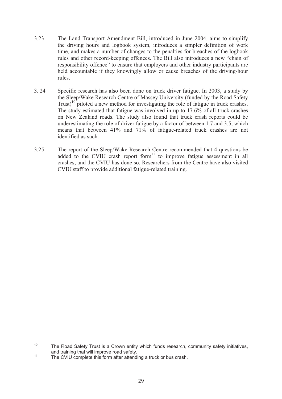- 3.23 The Land Transport Amendment Bill, introduced in June 2004, aims to simplify the driving hours and logbook system, introduces a simpler definition of work time, and makes a number of changes to the penalties for breaches of the logbook rules and other record-keeping offences. The Bill also introduces a new "chain of responsibility offence" to ensure that employers and other industry participants are held accountable if they knowingly allow or cause breaches of the driving-hour rules.
- 3. 24 Specific research has also been done on truck driver fatigue. In 2003, a study by the Sleep/Wake Research Centre of Massey University (funded by the Road Safety Trust)<sup>10</sup> piloted a new method for investigating the role of fatigue in truck crashes. The study estimated that fatigue was involved in up to 17.6% of all truck crashes on New Zealand roads. The study also found that truck crash reports could be underestimating the role of driver fatigue by a factor of between 1.7 and 3.5, which means that between 41% and 71% of fatigue-related truck crashes are not identified as such.
- 3.25 The report of the Sleep/Wake Research Centre recommended that 4 questions be added to the CVIU crash report form<sup>11</sup> to improve fatigue assessment in all crashes, and the CVIU has done so. Researchers from the Centre have also visited CVIU staff to provide additional fatigue-related training.

<sup>&</sup>lt;sup>10</sup> The Road Safety Trust is a Crown entity which funds research, community safety initiatives, and training that will improve road safety.<br><sup>11</sup> The CVIU complete this form after attending a truck or bus crash.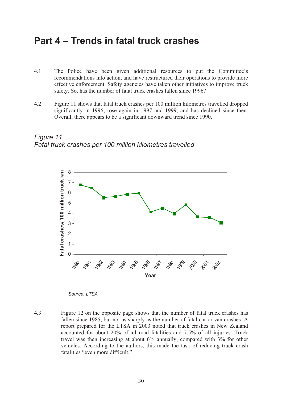# **Part 4 – Trends in fatal truck crashes**

- 4.1 The Police have been given additional resources to put the Committee's recommendations into action, and have restructured their operations to provide more effective enforcement. Safety agencies have taken other initiatives to improve truck safety. So, has the number of fatal truck crashes fallen since 1996?
- 4.2 Figure 11 shows that fatal truck crashes per 100 million kilometres travelled dropped significantly in 1996, rose again in 1997 and 1999, and has declined since then. Overall, there appears to be a significant downward trend since 1990.





*Source: LTSA* 

4.3 Figure 12 on the opposite page shows that the number of fatal truck crashes has fallen since 1985, but not as sharply as the number of fatal car or van crashes. A report prepared for the LTSA in 2003 noted that truck crashes in New Zealand accounted for about 20% of all road fatalities and 7.5% of all injuries. Truck travel was then increasing at about 6% annually, compared with 3% for other vehicles. According to the authors, this made the task of reducing truck crash fatalities "even more difficult."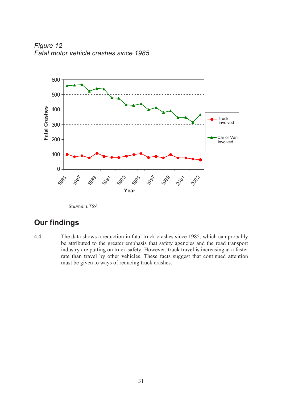*Figure 12 Fatal motor vehicle crashes since 1985* 



*Source: LTSA* 

### **Our findings**

4.4 The data shows a reduction in fatal truck crashes since 1985, which can probably be attributed to the greater emphasis that safety agencies and the road transport industry are putting on truck safety. However, truck travel is increasing at a faster rate than travel by other vehicles. These facts suggest that continued attention must be given to ways of reducing truck crashes.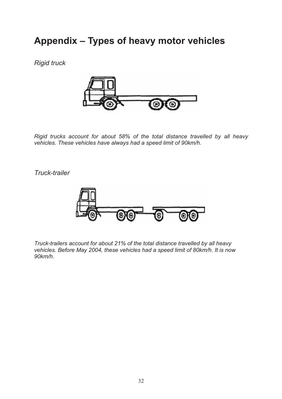# **Appendix – Types of heavy motor vehicles**

*Rigid truck* 



*Rigid trucks account for about 58% of the total distance travelled by all heavy vehicles. These vehicles have always had a speed limit of 90km/h.* 

*Truck-trailer* 



*Truck-trailers account for about 21% of the total distance travelled by all heavy vehicles. Before May 2004, these vehicles had a speed limit of 80km/h. It is now 90km/h.*